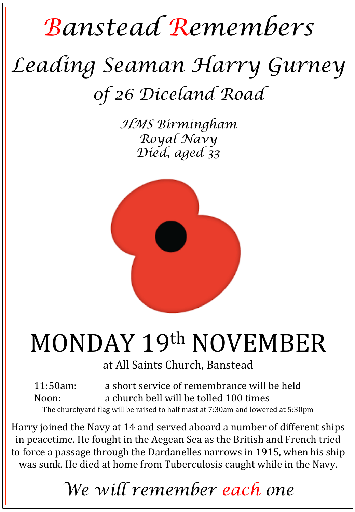## *Banstead Remembers*

# *Leading Seaman Harry Gurney 0f 26 Diceland Road*

*HMS Birmingham Royal Navy Died, aged 33* 



# MONDAY 19th NOVEMBER

at All Saints Church, Banstead

11:50am: a short service of remembrance will be held Noon: a church bell will be tolled 100 times The churchyard flag will be raised to half mast at 7:30am and lowered at 5:30pm

Harry joined the Navy at 14 and served aboard a number of different ships in peacetime. He fought in the Aegean Sea as the British and French tried to force a passage through the Dardanelles narrows in 1915, when his ship was sunk. He died at home from Tuberculosis caught while in the Navy.

### *We will remember each one*